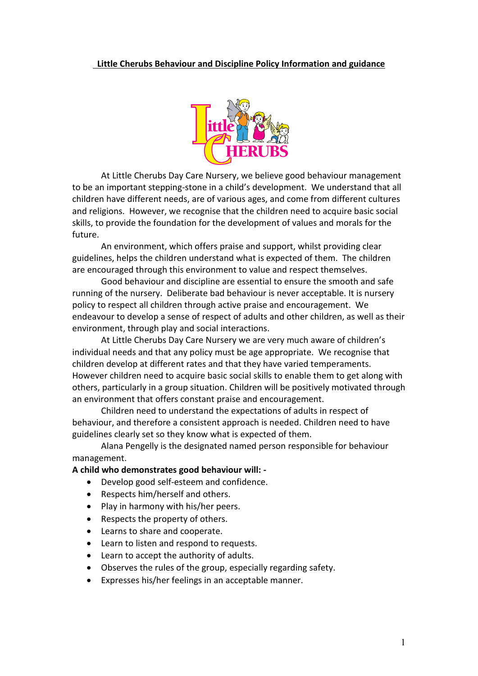#### **Little Cherubs Behaviour and Discipline Policy Information and guidance**



At Little Cherubs Day Care Nursery, we believe good behaviour management to be an important stepping-stone in a child's development. We understand that all children have different needs, are of various ages, and come from different cultures and religions. However, we recognise that the children need to acquire basic social skills, to provide the foundation for the development of values and morals for the future.

An environment, which offers praise and support, whilst providing clear guidelines, helps the children understand what is expected of them. The children are encouraged through this environment to value and respect themselves.

Good behaviour and discipline are essential to ensure the smooth and safe running of the nursery. Deliberate bad behaviour is never acceptable. It is nursery policy to respect all children through active praise and encouragement. We endeavour to develop a sense of respect of adults and other children, as well as their environment, through play and social interactions.

At Little Cherubs Day Care Nursery we are very much aware of children's individual needs and that any policy must be age appropriate. We recognise that children develop at different rates and that they have varied temperaments. However children need to acquire basic social skills to enable them to get along with others, particularly in a group situation. Children will be positively motivated through an environment that offers constant praise and encouragement.

Children need to understand the expectations of adults in respect of behaviour, and therefore a consistent approach is needed. Children need to have guidelines clearly set so they know what is expected of them.

Alana Pengelly is the designated named person responsible for behaviour management.

#### **A child who demonstrates good behaviour will: -**

- Develop good self-esteem and confidence.
- Respects him/herself and others.
- Play in harmony with his/her peers.
- Respects the property of others.
- Learns to share and cooperate.
- Learn to listen and respond to requests.
- Learn to accept the authority of adults.
- Observes the rules of the group, especially regarding safety.
- Expresses his/her feelings in an acceptable manner.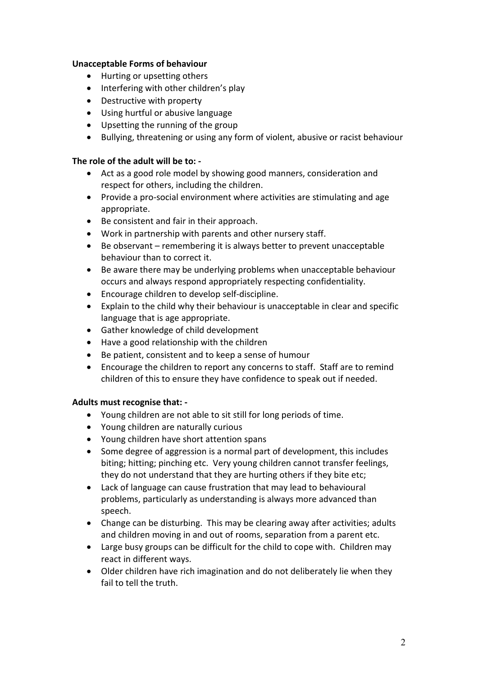#### **Unacceptable Forms of behaviour**

- Hurting or upsetting others
- Interfering with other children's play
- Destructive with property
- Using hurtful or abusive language
- Upsetting the running of the group
- Bullying, threatening or using any form of violent, abusive or racist behaviour

### **The role of the adult will be to: -**

- Act as a good role model by showing good manners, consideration and respect for others, including the children.
- Provide a pro-social environment where activities are stimulating and age appropriate.
- Be consistent and fair in their approach.
- Work in partnership with parents and other nursery staff.
- Be observant remembering it is always better to prevent unacceptable behaviour than to correct it.
- Be aware there may be underlying problems when unacceptable behaviour occurs and always respond appropriately respecting confidentiality.
- Encourage children to develop self-discipline.
- Explain to the child why their behaviour is unacceptable in clear and specific language that is age appropriate.
- Gather knowledge of child development
- Have a good relationship with the children
- Be patient, consistent and to keep a sense of humour
- Encourage the children to report any concerns to staff. Staff are to remind children of this to ensure they have confidence to speak out if needed.

### **Adults must recognise that: -**

- Young children are not able to sit still for long periods of time.
- Young children are naturally curious
- Young children have short attention spans
- Some degree of aggression is a normal part of development, this includes biting; hitting; pinching etc. Very young children cannot transfer feelings, they do not understand that they are hurting others if they bite etc;
- Lack of language can cause frustration that may lead to behavioural problems, particularly as understanding is always more advanced than speech.
- Change can be disturbing. This may be clearing away after activities; adults and children moving in and out of rooms, separation from a parent etc.
- Large busy groups can be difficult for the child to cope with. Children may react in different ways.
- Older children have rich imagination and do not deliberately lie when they fail to tell the truth.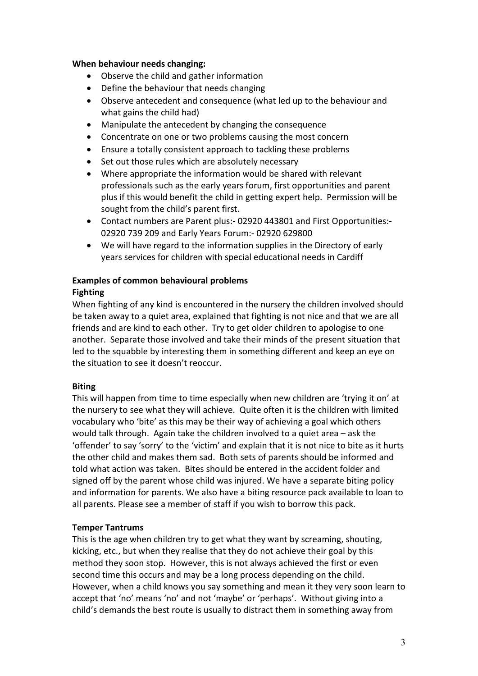#### **When behaviour needs changing:**

- Observe the child and gather information
- Define the behaviour that needs changing
- Observe antecedent and consequence (what led up to the behaviour and what gains the child had)
- Manipulate the antecedent by changing the consequence
- Concentrate on one or two problems causing the most concern
- Ensure a totally consistent approach to tackling these problems
- Set out those rules which are absolutely necessary
- Where appropriate the information would be shared with relevant professionals such as the early years forum, first opportunities and parent plus if this would benefit the child in getting expert help. Permission will be sought from the child's parent first.
- Contact numbers are Parent plus:- 02920 443801 and First Opportunities:- 02920 739 209 and Early Years Forum:- 02920 629800
- We will have regard to the information supplies in the Directory of early years services for children with special educational needs in Cardiff

# **Examples of common behavioural problems**

# **Fighting**

When fighting of any kind is encountered in the nursery the children involved should be taken away to a quiet area, explained that fighting is not nice and that we are all friends and are kind to each other. Try to get older children to apologise to one another. Separate those involved and take their minds of the present situation that led to the squabble by interesting them in something different and keep an eye on the situation to see it doesn't reoccur.

### **Biting**

This will happen from time to time especially when new children are 'trying it on' at the nursery to see what they will achieve. Quite often it is the children with limited vocabulary who 'bite' as this may be their way of achieving a goal which others would talk through. Again take the children involved to a quiet area – ask the 'offender' to say 'sorry' to the 'victim' and explain that it is not nice to bite as it hurts the other child and makes them sad. Both sets of parents should be informed and told what action was taken. Bites should be entered in the accident folder and signed off by the parent whose child was injured. We have a separate biting policy and information for parents. We also have a biting resource pack available to loan to all parents. Please see a member of staff if you wish to borrow this pack.

### **Temper Tantrums**

This is the age when children try to get what they want by screaming, shouting, kicking, etc., but when they realise that they do not achieve their goal by this method they soon stop. However, this is not always achieved the first or even second time this occurs and may be a long process depending on the child. However, when a child knows you say something and mean it they very soon learn to accept that 'no' means 'no' and not 'maybe' or 'perhaps'. Without giving into a child's demands the best route is usually to distract them in something away from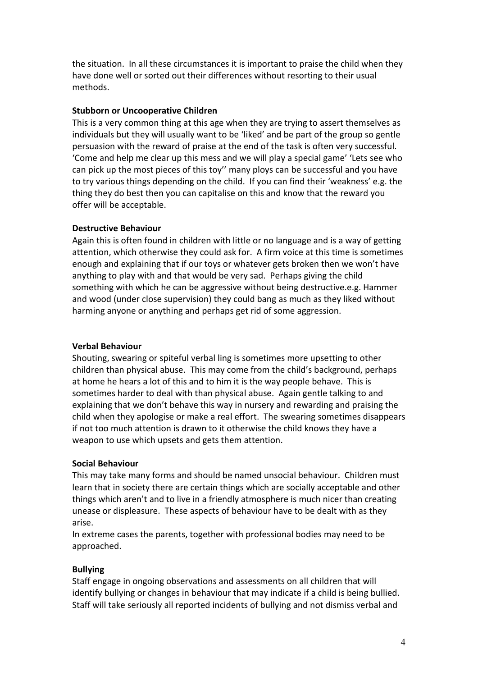the situation. In all these circumstances it is important to praise the child when they have done well or sorted out their differences without resorting to their usual methods.

#### **Stubborn or Uncooperative Children**

This is a very common thing at this age when they are trying to assert themselves as individuals but they will usually want to be 'liked' and be part of the group so gentle persuasion with the reward of praise at the end of the task is often very successful. 'Come and help me clear up this mess and we will play a special game' 'Lets see who can pick up the most pieces of this toy'' many ploys can be successful and you have to try various things depending on the child. If you can find their 'weakness' e.g. the thing they do best then you can capitalise on this and know that the reward you offer will be acceptable.

#### **Destructive Behaviour**

Again this is often found in children with little or no language and is a way of getting attention, which otherwise they could ask for. A firm voice at this time is sometimes enough and explaining that if our toys or whatever gets broken then we won't have anything to play with and that would be very sad. Perhaps giving the child something with which he can be aggressive without being destructive.e.g. Hammer and wood (under close supervision) they could bang as much as they liked without harming anyone or anything and perhaps get rid of some aggression.

#### **Verbal Behaviour**

Shouting, swearing or spiteful verbal ling is sometimes more upsetting to other children than physical abuse. This may come from the child's background, perhaps at home he hears a lot of this and to him it is the way people behave. This is sometimes harder to deal with than physical abuse. Again gentle talking to and explaining that we don't behave this way in nursery and rewarding and praising the child when they apologise or make a real effort. The swearing sometimes disappears if not too much attention is drawn to it otherwise the child knows they have a weapon to use which upsets and gets them attention.

#### **Social Behaviour**

This may take many forms and should be named unsocial behaviour. Children must learn that in society there are certain things which are socially acceptable and other things which aren't and to live in a friendly atmosphere is much nicer than creating unease or displeasure. These aspects of behaviour have to be dealt with as they arise.

In extreme cases the parents, together with professional bodies may need to be approached.

#### **Bullying**

Staff engage in ongoing observations and assessments on all children that will identify bullying or changes in behaviour that may indicate if a child is being bullied. Staff will take seriously all reported incidents of bullying and not dismiss verbal and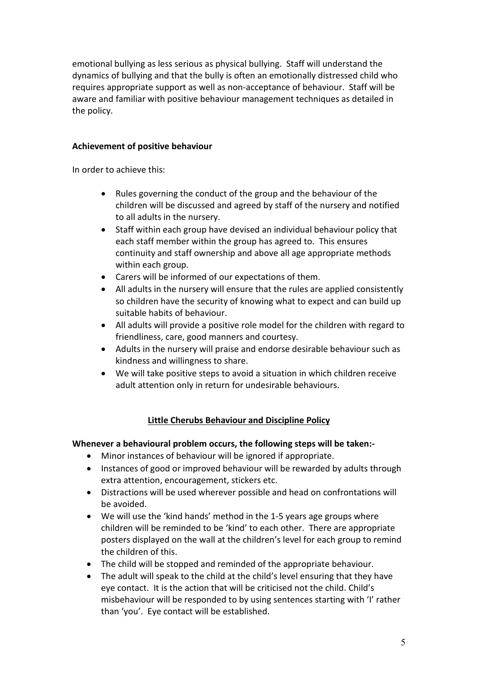emotional bullying as less serious as physical bullying. Staff will understand the dynamics of bullying and that the bully is often an emotionally distressed child who requires appropriate support as well as non-acceptance of behaviour. Staff will be aware and familiar with positive behaviour management techniques as detailed in the policy.

### **Achievement of positive behaviour**

In order to achieve this:

- Rules governing the conduct of the group and the behaviour of the children will be discussed and agreed by staff of the nursery and notified to all adults in the nursery.
- Staff within each group have devised an individual behaviour policy that each staff member within the group has agreed to. This ensures continuity and staff ownership and above all age appropriate methods within each group.
- Carers will be informed of our expectations of them.
- All adults in the nursery will ensure that the rules are applied consistently so children have the security of knowing what to expect and can build up suitable habits of behaviour.
- All adults will provide a positive role model for the children with regard to friendliness, care, good manners and courtesy.
- Adults in the nursery will praise and endorse desirable behaviour such as kindness and willingness to share.
- We will take positive steps to avoid a situation in which children receive adult attention only in return for undesirable behaviours.

# **Little Cherubs Behaviour and Discipline Policy**

### **Whenever a behavioural problem occurs, the following steps will be taken:-**

- Minor instances of behaviour will be ignored if appropriate.
- Instances of good or improved behaviour will be rewarded by adults through extra attention, encouragement, stickers etc.
- Distractions will be used wherever possible and head on confrontations will be avoided.
- We will use the 'kind hands' method in the 1-5 years age groups where children will be reminded to be 'kind' to each other. There are appropriate posters displayed on the wall at the children's level for each group to remind the children of this.
- The child will be stopped and reminded of the appropriate behaviour.
- The adult will speak to the child at the child's level ensuring that they have eye contact. It is the action that will be criticised not the child. Child's misbehaviour will be responded to by using sentences starting with 'I' rather than 'you'. Eye contact will be established.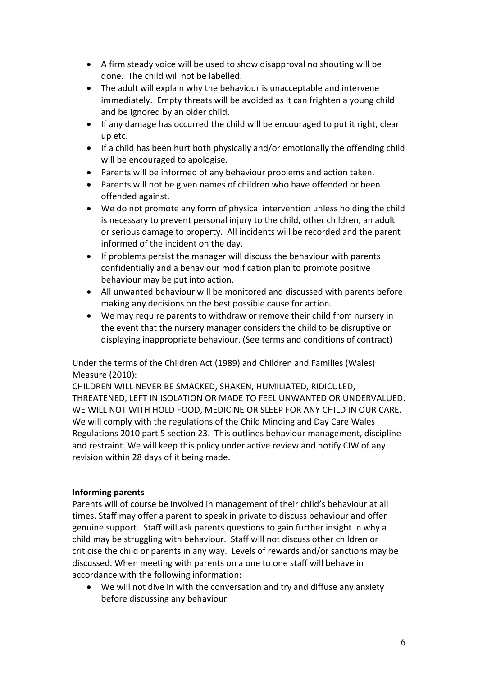- A firm steady voice will be used to show disapproval no shouting will be done. The child will not be labelled.
- The adult will explain why the behaviour is unacceptable and intervene immediately. Empty threats will be avoided as it can frighten a young child and be ignored by an older child.
- If any damage has occurred the child will be encouraged to put it right, clear up etc.
- If a child has been hurt both physically and/or emotionally the offending child will be encouraged to apologise.
- Parents will be informed of any behaviour problems and action taken.
- Parents will not be given names of children who have offended or been offended against.
- We do not promote any form of physical intervention unless holding the child is necessary to prevent personal injury to the child, other children, an adult or serious damage to property. All incidents will be recorded and the parent informed of the incident on the day.
- If problems persist the manager will discuss the behaviour with parents confidentially and a behaviour modification plan to promote positive behaviour may be put into action.
- All unwanted behaviour will be monitored and discussed with parents before making any decisions on the best possible cause for action.
- We may require parents to withdraw or remove their child from nursery in the event that the nursery manager considers the child to be disruptive or displaying inappropriate behaviour. (See terms and conditions of contract)

Under the terms of the Children Act (1989) and Children and Families (Wales) Measure (2010):

CHILDREN WILL NEVER BE SMACKED, SHAKEN, HUMILIATED, RIDICULED, THREATENED, LEFT IN ISOLATION OR MADE TO FEEL UNWANTED OR UNDERVALUED. WE WILL NOT WITH HOLD FOOD, MEDICINE OR SLEEP FOR ANY CHILD IN OUR CARE. We will comply with the regulations of the Child Minding and Day Care Wales Regulations 2010 part 5 section 23. This outlines behaviour management, discipline and restraint. We will keep this policy under active review and notify CIW of any revision within 28 days of it being made.

# **Informing parents**

Parents will of course be involved in management of their child's behaviour at all times. Staff may offer a parent to speak in private to discuss behaviour and offer genuine support. Staff will ask parents questions to gain further insight in why a child may be struggling with behaviour. Staff will not discuss other children or criticise the child or parents in any way. Levels of rewards and/or sanctions may be discussed. When meeting with parents on a one to one staff will behave in accordance with the following information:

We will not dive in with the conversation and try and diffuse any anxiety before discussing any behaviour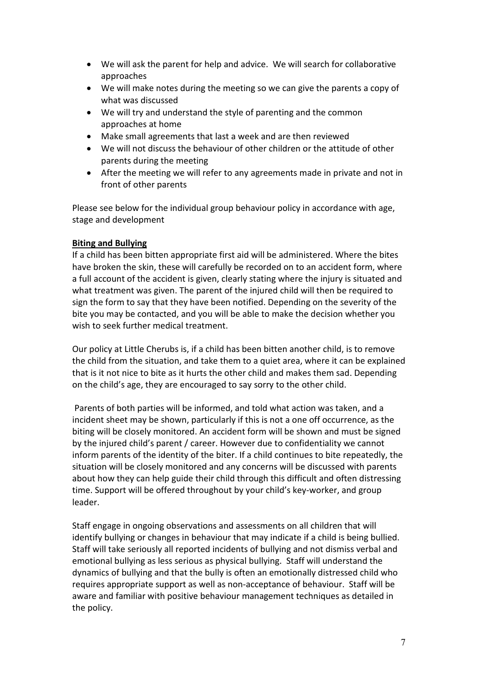- We will ask the parent for help and advice. We will search for collaborative approaches
- We will make notes during the meeting so we can give the parents a copy of what was discussed
- We will try and understand the style of parenting and the common approaches at home
- Make small agreements that last a week and are then reviewed
- We will not discuss the behaviour of other children or the attitude of other parents during the meeting
- After the meeting we will refer to any agreements made in private and not in front of other parents

Please see below for the individual group behaviour policy in accordance with age, stage and development

### **Biting and Bullying**

If a child has been bitten appropriate first aid will be administered. Where the bites have broken the skin, these will carefully be recorded on to an accident form, where a full account of the accident is given, clearly stating where the injury is situated and what treatment was given. The parent of the injured child will then be required to sign the form to say that they have been notified. Depending on the severity of the bite you may be contacted, and you will be able to make the decision whether you wish to seek further medical treatment.

Our policy at Little Cherubs is, if a child has been bitten another child, is to remove the child from the situation, and take them to a quiet area, where it can be explained that is it not nice to bite as it hurts the other child and makes them sad. Depending on the child's age, they are encouraged to say sorry to the other child.

Parents of both parties will be informed, and told what action was taken, and a incident sheet may be shown, particularly if this is not a one off occurrence, as the biting will be closely monitored. An accident form will be shown and must be signed by the injured child's parent / career. However due to confidentiality we cannot inform parents of the identity of the biter. If a child continues to bite repeatedly, the situation will be closely monitored and any concerns will be discussed with parents about how they can help guide their child through this difficult and often distressing time. Support will be offered throughout by your child's key-worker, and group leader.

Staff engage in ongoing observations and assessments on all children that will identify bullying or changes in behaviour that may indicate if a child is being bullied. Staff will take seriously all reported incidents of bullying and not dismiss verbal and emotional bullying as less serious as physical bullying. Staff will understand the dynamics of bullying and that the bully is often an emotionally distressed child who requires appropriate support as well as non-acceptance of behaviour. Staff will be aware and familiar with positive behaviour management techniques as detailed in the policy.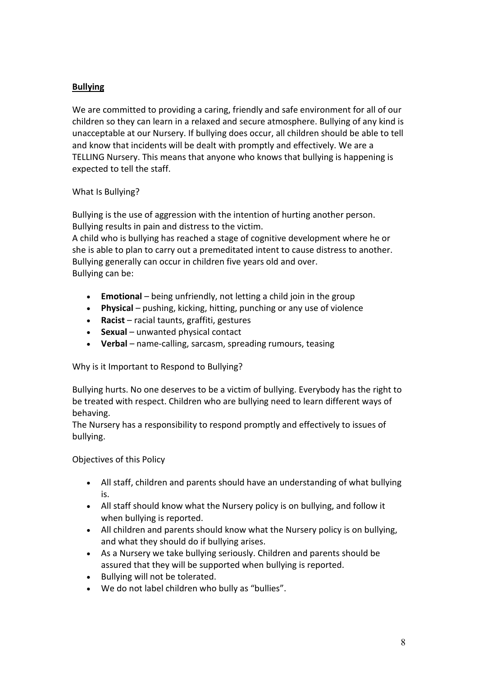# **Bullying**

We are committed to providing a caring, friendly and safe environment for all of our children so they can learn in a relaxed and secure atmosphere. Bullying of any kind is unacceptable at our Nursery. If bullying does occur, all children should be able to tell and know that incidents will be dealt with promptly and effectively. We are a TELLING Nursery. This means that anyone who knows that bullying is happening is expected to tell the staff.

# What Is Bullying?

Bullying is the use of aggression with the intention of hurting another person. Bullying results in pain and distress to the victim.

A child who is bullying has reached a stage of cognitive development where he or she is able to plan to carry out a premeditated intent to cause distress to another. Bullying generally can occur in children five years old and over. Bullying can be:

- **Emotional** being unfriendly, not letting a child join in the group
- **Physical** pushing, kicking, hitting, punching or any use of violence
- **Racist** racial taunts, graffiti, gestures
- **Sexual** unwanted physical contact
- **Verbal** name-calling, sarcasm, spreading rumours, teasing

Why is it Important to Respond to Bullying?

Bullying hurts. No one deserves to be a victim of bullying. Everybody has the right to be treated with respect. Children who are bullying need to learn different ways of behaving.

The Nursery has a responsibility to respond promptly and effectively to issues of bullying.

Objectives of this Policy

- All staff, children and parents should have an understanding of what bullying is.
- All staff should know what the Nursery policy is on bullying, and follow it when bullying is reported.
- All children and parents should know what the Nursery policy is on bullying, and what they should do if bullying arises.
- As a Nursery we take bullying seriously. Children and parents should be assured that they will be supported when bullying is reported.
- Bullying will not be tolerated.
- We do not label children who bully as "bullies".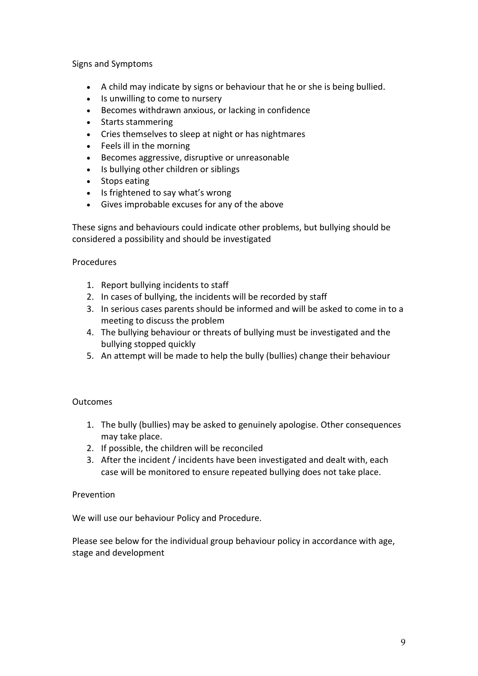Signs and Symptoms

- A child may indicate by signs or behaviour that he or she is being bullied.
- Is unwilling to come to nursery
- Becomes withdrawn anxious, or lacking in confidence
- Starts stammering
- Cries themselves to sleep at night or has nightmares
- Feels ill in the morning
- Becomes aggressive, disruptive or unreasonable
- Is bullying other children or siblings
- Stops eating
- Is frightened to say what's wrong
- Gives improbable excuses for any of the above

These signs and behaviours could indicate other problems, but bullying should be considered a possibility and should be investigated

### Procedures

- 1. Report bullying incidents to staff
- 2. In cases of bullying, the incidents will be recorded by staff
- 3. In serious cases parents should be informed and will be asked to come in to a meeting to discuss the problem
- 4. The bullying behaviour or threats of bullying must be investigated and the bullying stopped quickly
- 5. An attempt will be made to help the bully (bullies) change their behaviour

### **Outcomes**

- 1. The bully (bullies) may be asked to genuinely apologise. Other consequences may take place.
- 2. If possible, the children will be reconciled
- 3. After the incident / incidents have been investigated and dealt with, each case will be monitored to ensure repeated bullying does not take place.

### Prevention

We will use our behaviour Policy and Procedure.

Please see below for the individual group behaviour policy in accordance with age, stage and development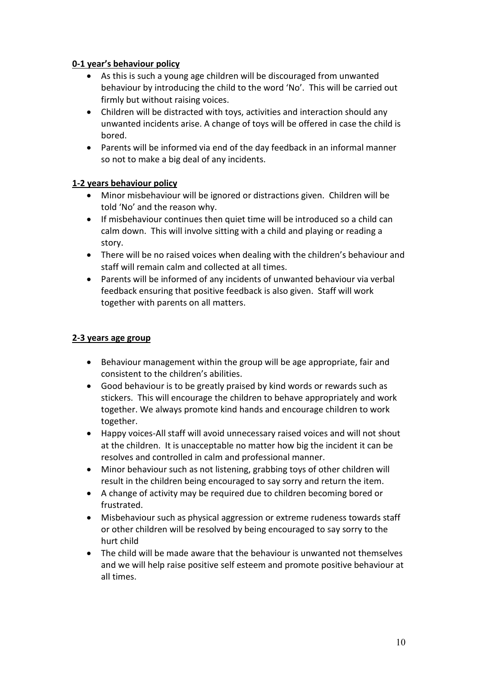# **0-1 year's behaviour policy**

- As this is such a young age children will be discouraged from unwanted behaviour by introducing the child to the word 'No'. This will be carried out firmly but without raising voices.
- Children will be distracted with toys, activities and interaction should any unwanted incidents arise. A change of toys will be offered in case the child is bored.
- Parents will be informed via end of the day feedback in an informal manner so not to make a big deal of any incidents.

# **1-2 years behaviour policy**

- Minor misbehaviour will be ignored or distractions given. Children will be told 'No' and the reason why.
- If misbehaviour continues then quiet time will be introduced so a child can calm down. This will involve sitting with a child and playing or reading a story.
- There will be no raised voices when dealing with the children's behaviour and staff will remain calm and collected at all times.
- Parents will be informed of any incidents of unwanted behaviour via verbal feedback ensuring that positive feedback is also given. Staff will work together with parents on all matters.

## **2-3 years age group**

- Behaviour management within the group will be age appropriate, fair and consistent to the children's abilities.
- Good behaviour is to be greatly praised by kind words or rewards such as stickers. This will encourage the children to behave appropriately and work together. We always promote kind hands and encourage children to work together.
- Happy voices-All staff will avoid unnecessary raised voices and will not shout at the children. It is unacceptable no matter how big the incident it can be resolves and controlled in calm and professional manner.
- Minor behaviour such as not listening, grabbing toys of other children will result in the children being encouraged to say sorry and return the item.
- A change of activity may be required due to children becoming bored or frustrated.
- Misbehaviour such as physical aggression or extreme rudeness towards staff or other children will be resolved by being encouraged to say sorry to the hurt child
- The child will be made aware that the behaviour is unwanted not themselves and we will help raise positive self esteem and promote positive behaviour at all times.